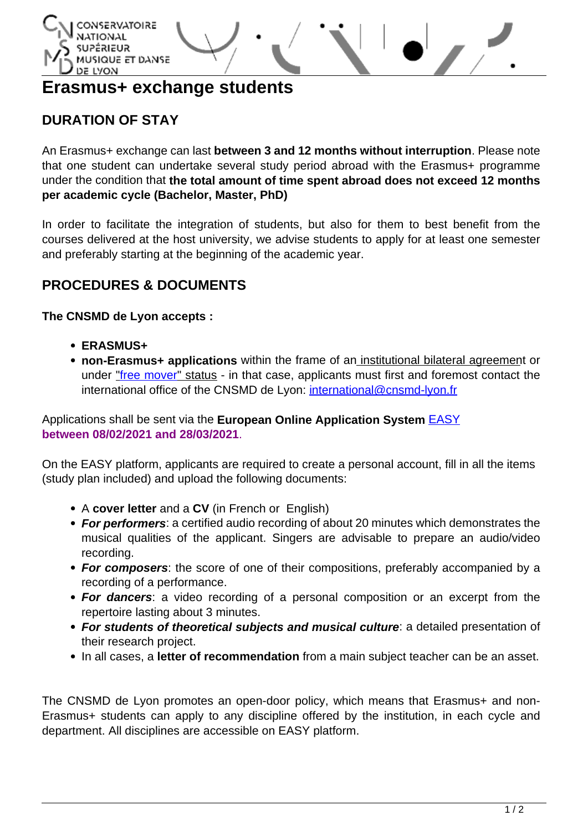

# **Erasmus+ exchange students**

## **DURATION OF STAY**

An Erasmus+ exchange can last **between 3 and 12 months without interruption**. Please note that one student can undertake several study period abroad with the Erasmus+ programme under the condition that **the total amount of time spent abroad does not exceed 12 months per academic cycle (Bachelor, Master, PhD)**

In order to facilitate the integration of students, but also for them to best benefit from the courses delivered at the host university, we advise students to apply for at least one semester and preferably starting at the beginning of the academic year.

### **PROCEDURES & DOCUMENTS**

**The CNSMD de Lyon accepts :**

- **ERASMUS+**
- **non-Erasmus+ applications** within the frame of an institutional bilateral agreement or under ["free mover](http://www.cnsmd-lyon.fr/en-2/international/non-erasmus-exchange-students)" status - in that case, applicants must first and foremost contact the international office of the CNSMD de Lyon: [international@cnsmd-lyon.fr](mailto:international@cnsmd-lyon.fr)

#### Applications shall be sent via the **European Online Application System** [EASY](https://aec.dreamapply.com) **between 08/02/2021 and 28/03/2021**.

On the EASY platform, applicants are required to create a personal account, fill in all the items (study plan included) and upload the following documents:

- A **cover letter** and a **CV** (in French or English)
- **For performers**: a certified audio recording of about 20 minutes which demonstrates the musical qualities of the applicant. Singers are advisable to prepare an audio/video recording.
- **For composers**: the score of one of their compositions, preferably accompanied by a recording of a performance.
- **For dancers**: a video recording of a personal composition or an excerpt from the repertoire lasting about 3 minutes.
- **For students of theoretical subjects and musical culture**: a detailed presentation of their research project.
- In all cases, a **letter of recommendation** from a main subject teacher can be an asset.

The CNSMD de Lyon promotes an open-door policy, which means that Erasmus+ and non-Erasmus+ students can apply to any discipline offered by the institution, in each cycle and department. All disciplines are accessible on EASY platform.